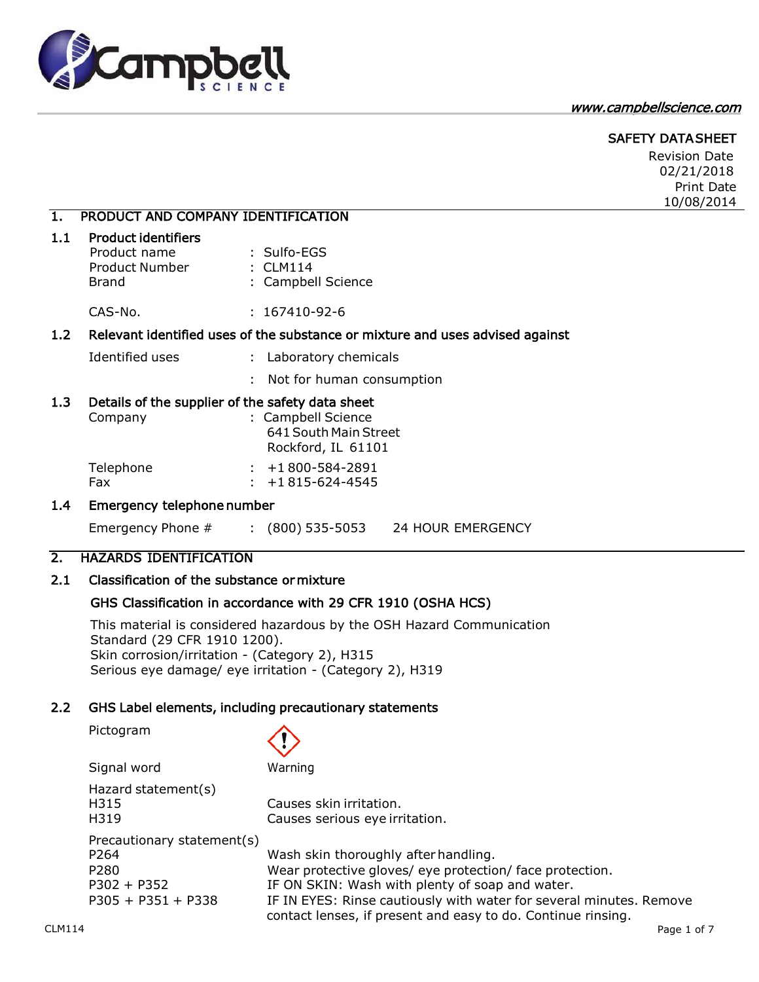

#### [www.campbellscience.com](http://www.campbellscience.com/)

#### SAFETY DATA SHEET

Revision Date 02/21/2018 Print Date 10/08/2014

# 1. PRODUCT AND COMPANY IDENTIFICATION

#### 1.1 Product identifiers

Product name : Sulfo-EGS Product Number : CLM114 Brand : Campbell Science

CAS-No. : 167410-92-6

# 1.2 Relevant identified uses of the substance or mixture and uses advised against

- Identified uses : Laboratory chemicals
	- : Not for human consumption

# 1.3 Details of the supplier of the safety data sheet

| Company   | : Campbell Science     |
|-----------|------------------------|
|           | 641 South Main Street  |
|           | Rockford, IL 61101     |
| Telephone | $: +1800 - 584 - 2891$ |

| <b>ICICPHOLIC</b> | L L UUU JUT ZUJI       |
|-------------------|------------------------|
| Fax               | $: +1815 - 624 - 4545$ |
|                   |                        |

# 1.4 Emergency telephone number

Emergency Phone # : (800) 535-5053 24 HOUR EMERGENCY

# 2. HAZARDS IDENTIFICATION

# 2.1 Classification of the substance or mixture

# GHS Classification in accordance with 29 CFR 1910 (OSHA HCS)

This material is considered hazardous by the OSH Hazard Communication Standard (29 CFR 1910 1200). Skin corrosion/irritation - (Category 2), H315 Serious eye damage/ eye irritation - (Category 2), H319

# 2.2 GHS Label elements, including precautionary statements

Pictogram

Signal word Warning

| Hazard statement(s)<br>H315<br>H319 | Causes skin irritation.<br>Causes serious eye irritation.                                                                           |
|-------------------------------------|-------------------------------------------------------------------------------------------------------------------------------------|
| Precautionary statement(s)          |                                                                                                                                     |
| P <sub>264</sub>                    | Wash skin thoroughly after handling.                                                                                                |
| P <sub>280</sub>                    | Wear protective gloves/ eye protection/ face protection.                                                                            |
| $P302 + P352$                       | IF ON SKIN: Wash with plenty of soap and water.                                                                                     |
| $P305 + P351 + P338$                | IF IN EYES: Rinse cautiously with water for several minutes. Remove<br>contact lenses, if present and easy to do. Continue rinsing. |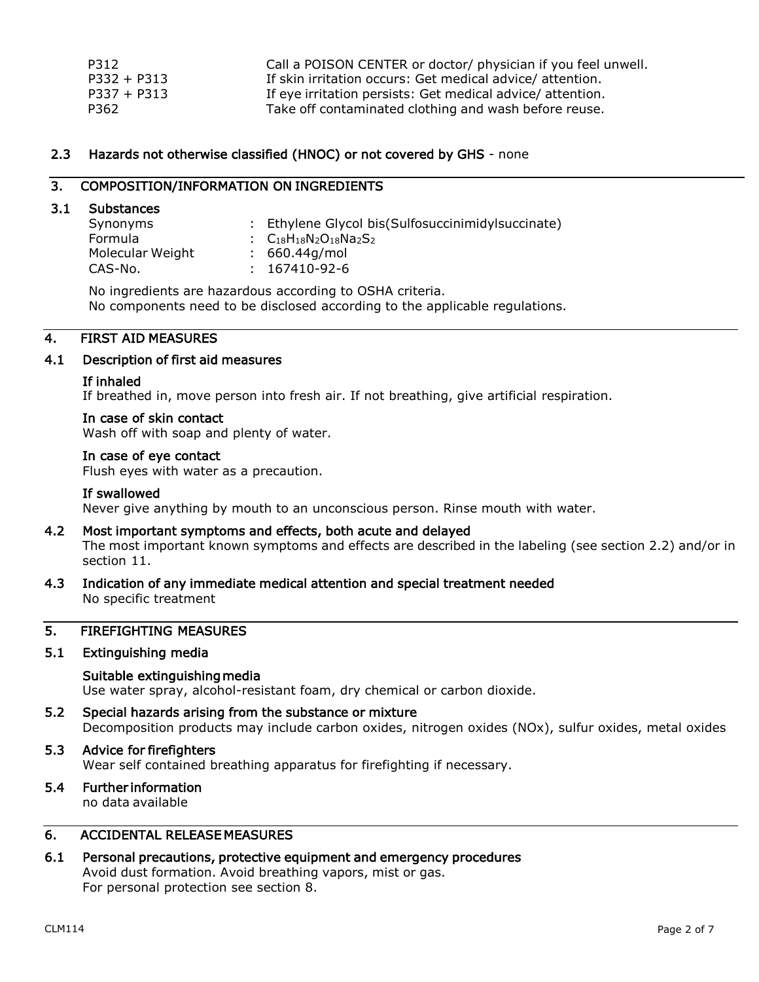| P312          | Call a POISON CENTER or doctor/ physician if you feel unwell. |
|---------------|---------------------------------------------------------------|
| $P332 + P313$ | If skin irritation occurs: Get medical advice/ attention.     |
| $P337 + P313$ | If eye irritation persists: Get medical advice/attention.     |
| P362          | Take off contaminated clothing and wash before reuse.         |

# 2.3 Hazards not otherwise classified (HNOC) or not covered by GHS - none

# 3. COMPOSITION/INFORMATION ON INGREDIENTS

# 3.1 Substances

| Synonyms         | : Ethylene Glycol bis(Sulfosuccinimidylsuccinate) |
|------------------|---------------------------------------------------|
| Formula          | : $C_{18}H_{18}N_2O_{18}Na_2S_2$                  |
| Molecular Weight | $: 660.44$ g/mol                                  |
| CAS-No.          | $: 167410 - 92 - 6$                               |

No ingredients are hazardous according to OSHA criteria. No components need to be disclosed according to the applicable regulations.

# 4. FIRST AID MEASURES

# 4.1 Description of first aid measures

# If inhaled

If breathed in, move person into fresh air. If not breathing, give artificial respiration.

# In case of skin contact

Wash off with soap and plenty of water.

#### In case of eye contact

Flush eyes with water as a precaution.

### If swallowed

Never give anything by mouth to an unconscious person. Rinse mouth with water.

# 4.2 Most important symptoms and effects, both acute and delayed

The most important known symptoms and effects are described in the labeling (see section 2.2) and/or in section 11.

4.3 Indication of any immediate medical attention and special treatment needed No specific treatment

# 5. FIREFIGHTING MEASURES

# 5.1 Extinguishing media

# Suitable extinguishing media

Use water spray, alcohol-resistant foam, dry chemical or carbon dioxide.

5.2 Special hazards arising from the substance or mixture Decomposition products may include carbon oxides, nitrogen oxides (NOx), sulfur oxides, metal oxides

# 5.3 Advice for firefighters

Wear self contained breathing apparatus for firefighting if necessary.

# 5.4 Further information

no data available

# 6. ACCIDENTAL RELEASE MEASURES

6.1 Personal precautions, protective equipment and emergency procedures Avoid dust formation. Avoid breathing vapors, mist or gas. For personal protection see section 8.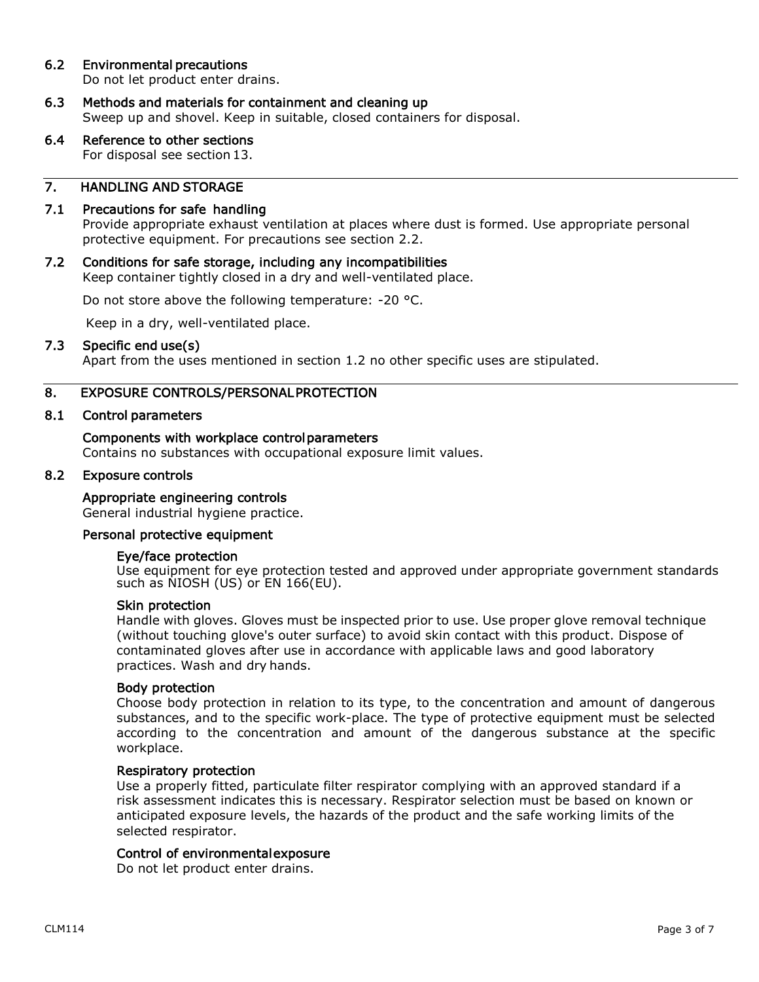#### 6.2 Environmental precautions Do not let product enter drains.

- 6.3 Methods and materials for containment and cleaning up Sweep up and shovel. Keep in suitable, closed containers for disposal.
- 6.4 Reference to other sections For disposal see section 13.

# 7. HANDLING AND STORAGE

# 7.1 Precautions for safe handling

Provide appropriate exhaust ventilation at places where dust is formed. Use appropriate personal protective equipment. For precautions see section 2.2.

# 7.2 Conditions for safe storage, including any incompatibilities

Keep container tightly closed in a dry and well-ventilated place.

Do not store above the following temperature: -20 °C.

Keep in a dry, well-ventilated place.

# 7.3 Specific end use(s)

Apart from the uses mentioned in section 1.2 no other specific uses are stipulated.

# 8. EXPOSURE CONTROLS/PERSONAL PROTECTION

# 8.1 Control parameters

# Components with workplace control parameters

Contains no substances with occupational exposure limit values.

# 8.2 Exposure controls

# Appropriate engineering controls

General industrial hygiene practice.

# Personal protective equipment

# Eye/face protection

Use equipment for eye protection tested and approved under appropriate government standards such as NIOSH (US) or EN 166(EU).

# Skin protection

Handle with gloves. Gloves must be inspected prior to use. Use proper glove removal technique (without touching glove's outer surface) to avoid skin contact with this product. Dispose of contaminated gloves after use in accordance with applicable laws and good laboratory practices. Wash and dry hands.

### Body protection

Choose body protection in relation to its type, to the concentration and amount of dangerous substances, and to the specific work-place. The type of protective equipment must be selected according to the concentration and amount of the dangerous substance at the specific workplace.

#### Respiratory protection

Use a properly fitted, particulate filter respirator complying with an approved standard if a risk assessment indicates this is necessary. Respirator selection must be based on known or anticipated exposure levels, the hazards of the product and the safe working limits of the selected respirator.

# Control of environmental exposure

Do not let product enter drains.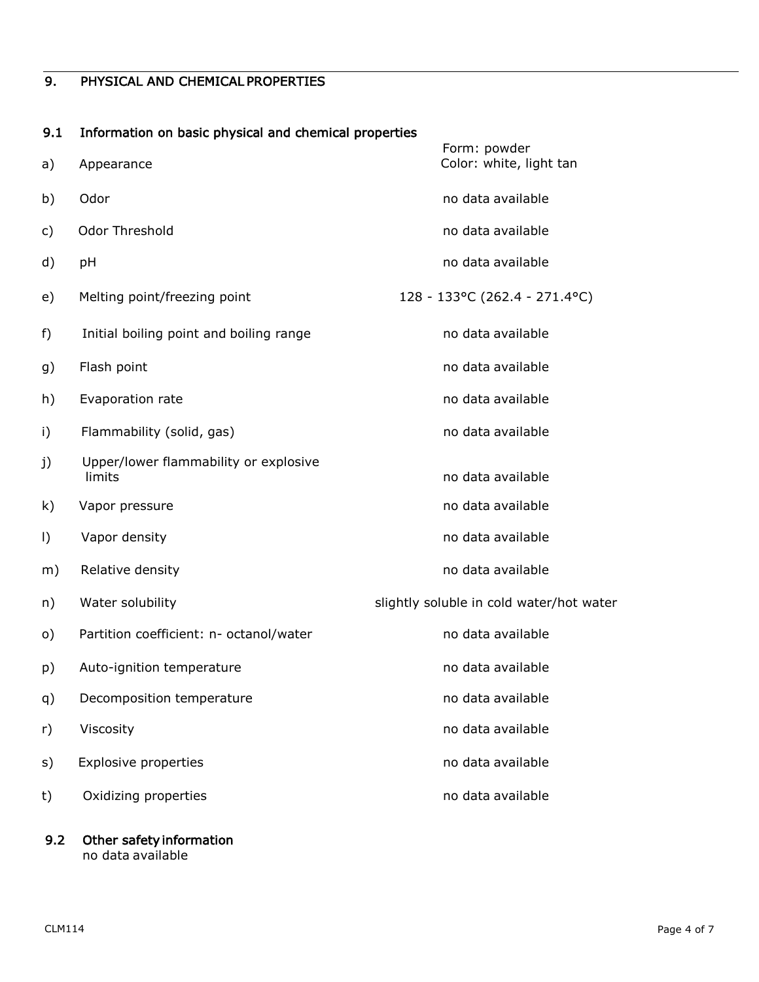# 9. PHYSICAL AND CHEMICAL PROPERTIES

# 9.1 Information on basic physical and chemical properties

| a) | Appearance                                      | Form: powder<br>Color: white, light tan  |
|----|-------------------------------------------------|------------------------------------------|
| b) | Odor                                            | no data available                        |
|    |                                                 |                                          |
| c) | Odor Threshold                                  | no data available                        |
| d) | pH                                              | no data available                        |
| e) | Melting point/freezing point                    | 128 - 133°C (262.4 - 271.4°C)            |
| f) | Initial boiling point and boiling range         | no data available                        |
| g) | Flash point                                     | no data available                        |
| h) | Evaporation rate                                | no data available                        |
| i) | Flammability (solid, gas)                       | no data available                        |
| j) | Upper/lower flammability or explosive<br>limits | no data available                        |
| k) | Vapor pressure                                  | no data available                        |
| I) | Vapor density                                   | no data available                        |
| m) | Relative density                                | no data available                        |
| n) | Water solubility                                | slightly soluble in cold water/hot water |
| o) | Partition coefficient: n- octanol/water         | no data available                        |
| p) | Auto-ignition temperature                       | no data available                        |
| q) | Decomposition temperature                       | no data available                        |
| r) | Viscosity                                       | no data available                        |
| s) | <b>Explosive properties</b>                     | no data available                        |
| t) | Oxidizing properties                            | no data available                        |

9.2 Other safety information

no data available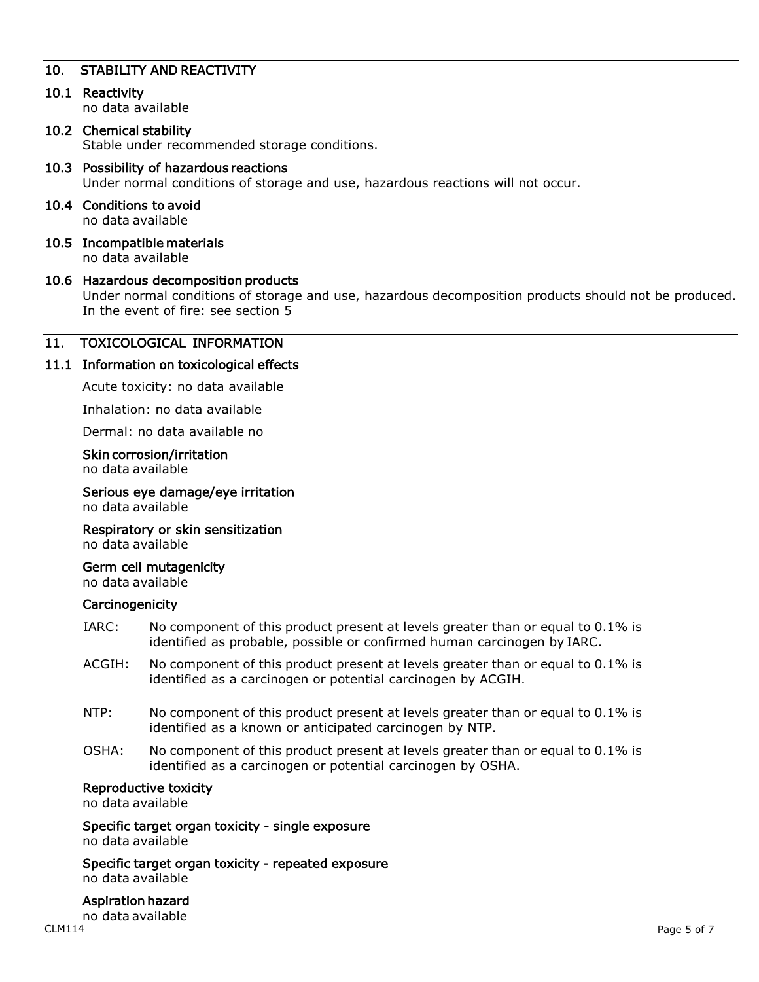# 10. STABILITY AND REACTIVITY

10.1 Reactivity

no data available

# 10.2 Chemical stability

Stable under recommended storage conditions.

# 10.3 Possibility of hazardous reactions Under normal conditions of storage and use, hazardous reactions will not occur.

- 10.4 Conditions to avoid no data available
- 10.5 Incompatible materials no data available

# 10.6 Hazardous decomposition products

Under normal conditions of storage and use, hazardous decomposition products should not be produced. In the event of fire: see section 5

# 11. TOXICOLOGICAL INFORMATION

#### 11.1 Information on toxicological effects

Acute toxicity: no data available

Inhalation: no data available

Dermal: no data available no

#### Skin corrosion/irritation

no data available

#### Serious eye damage/eye irritation no data available

Respiratory or skin sensitization no data available

# Germ cell mutagenicity

no data available

# **Carcinogenicity**

- IARC: No component of this product present at levels greater than or equal to 0.1% is identified as probable, possible or confirmed human carcinogen by IARC.
- ACGIH: No component of this product present at levels greater than or equal to 0.1% is identified as a carcinogen or potential carcinogen by ACGIH.
- NTP: No component of this product present at levels greater than or equal to 0.1% is identified as a known or anticipated carcinogen by NTP.
- OSHA: No component of this product present at levels greater than or equal to 0.1% is identified as a carcinogen or potential carcinogen by OSHA.

#### Reproductive toxicity

no data available

Specific target organ toxicity - single exposure no data available

Specific target organ toxicity - repeated exposure no data available

Aspiration hazard no data available<br>CLM114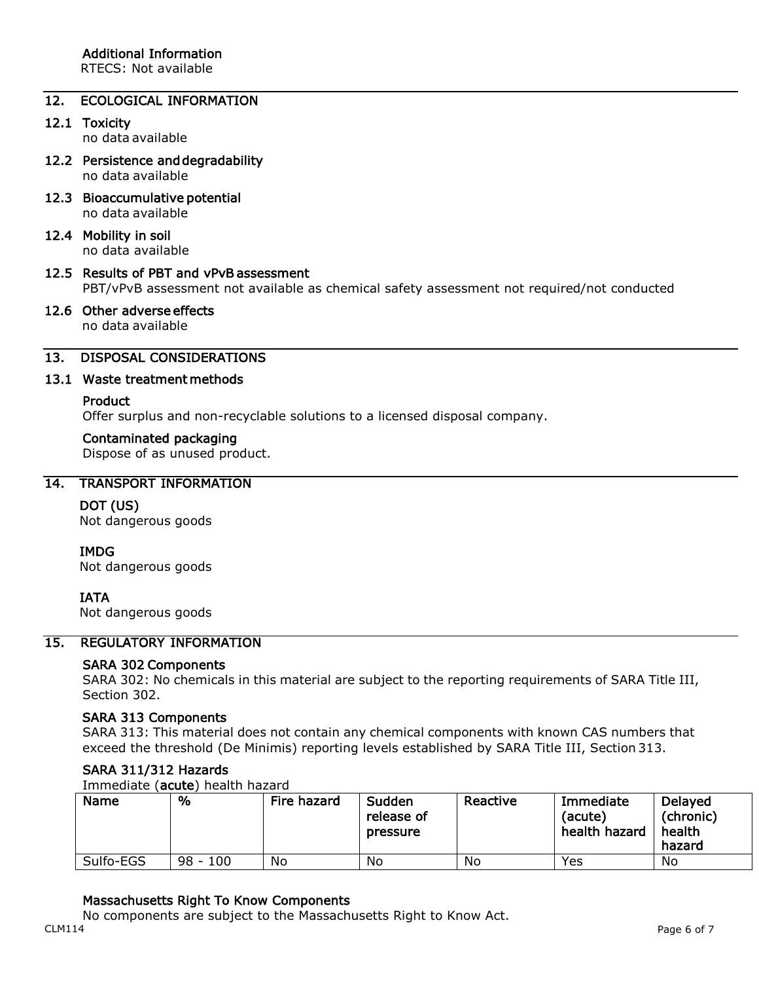# Additional Information

RTECS: Not available

### 12. ECOLOGICAL INFORMATION

# 12.1 Toxicity

no data available

12.2 Persistence and degradability no data available

#### 12.3 Bioaccumulative potential no data available

12.4 Mobility in soil no data available

### 12.5 Results of PBT and vPvB assessment PBT/vPvB assessment not available as chemical safety assessment not required/not conducted

#### 12.6 Other adverse effects no data available

# 13. DISPOSAL CONSIDERATIONS

# 13.1 Waste treatment methods

# Product

Offer surplus and non-recyclable solutions to a licensed disposal company.

# Contaminated packaging

Dispose of as unused product.

# 14. TRANSPORT INFORMATION

# DOT (US)

Not dangerous goods

# IMDG

Not dangerous goods

# IATA

Not dangerous goods

# 15. REGULATORY INFORMATION

# SARA 302 Components

SARA 302: No chemicals in this material are subject to the reporting requirements of SARA Title III, Section 302.

# SARA 313 Components

SARA 313: This material does not contain any chemical components with known CAS numbers that exceed the threshold (De Minimis) reporting levels established by SARA Title III, Section 313.

# SARA 311/312 Hazards

Immediate (acute) health hazard

| <b>Name</b> | $\%$       | Fire hazard | Sudden<br>release of<br>pressure | Reactive | Immediate<br>(acute)<br>health hazard | Delayed<br>(chronic)<br>health<br>hazard |
|-------------|------------|-------------|----------------------------------|----------|---------------------------------------|------------------------------------------|
| Sulfo-EGS   | $98 - 100$ | No          | No                               | No       | <b>Yes</b>                            | No                                       |

# Massachusetts Right To Know Components

No components are subject to the Massachusetts Right to Know Act.